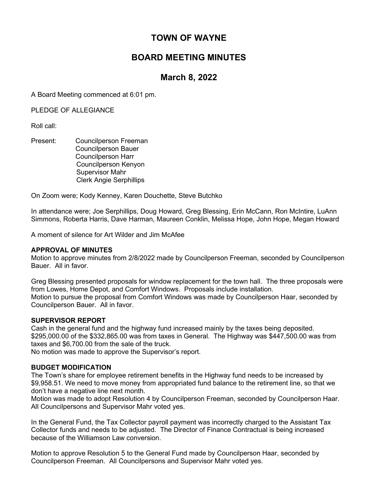# TOWN OF WAYNE

# BOARD MEETING MINUTES

# March 8, 2022

A Board Meeting commenced at 6:01 pm.

PLEDGE OF ALLEGIANCE

Roll call:

Present: Councilperson Freeman Councilperson Bauer Councilperson Harr Councilperson Kenyon Supervisor Mahr Clerk Angie Serphillips

On Zoom were; Kody Kenney, Karen Douchette, Steve Butchko

In attendance were; Joe Serphillips, Doug Howard, Greg Blessing, Erin McCann, Ron McIntire, LuAnn Simmons, Roberta Harris, Dave Harman, Maureen Conklin, Melissa Hope, John Hope, Megan Howard

A moment of silence for Art Wilder and Jim McAfee

#### APPROVAL OF MINUTES

Motion to approve minutes from 2/8/2022 made by Councilperson Freeman, seconded by Councilperson Bauer. All in favor.

Greg Blessing presented proposals for window replacement for the town hall. The three proposals were from Lowes, Home Depot, and Comfort Windows. Proposals include installation. Motion to pursue the proposal from Comfort Windows was made by Councilperson Haar, seconded by Councilperson Bauer. All in favor.

# SUPERVISOR REPORT

Cash in the general fund and the highway fund increased mainly by the taxes being deposited. \$295,000.00 of the \$332,865.00 was from taxes in General. The Highway was \$447,500.00 was from taxes and \$6,700.00 from the sale of the truck.

No motion was made to approve the Supervisor's report.

# BUDGET MODIFICATION

The Town's share for employee retirement benefits in the Highway fund needs to be increased by \$9,958.51. We need to move money from appropriated fund balance to the retirement line, so that we don't have a negative line next month.

Motion was made to adopt Resolution 4 by Councilperson Freeman, seconded by Councilperson Haar. All Councilpersons and Supervisor Mahr voted yes.

In the General Fund, the Tax Collector payroll payment was incorrectly charged to the Assistant Tax Collector funds and needs to be adjusted. The Director of Finance Contractual is being increased because of the Williamson Law conversion.

Motion to approve Resolution 5 to the General Fund made by Councilperson Haar, seconded by Councilperson Freeman. All Councilpersons and Supervisor Mahr voted yes.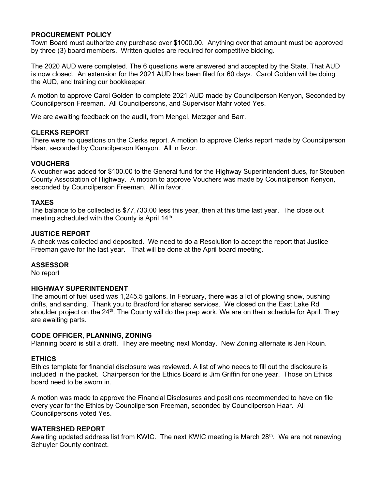## PROCUREMENT POLICY

Town Board must authorize any purchase over \$1000.00. Anything over that amount must be approved by three (3) board members. Written quotes are required for competitive bidding.

The 2020 AUD were completed. The 6 questions were answered and accepted by the State. That AUD is now closed. An extension for the 2021 AUD has been filed for 60 days. Carol Golden will be doing the AUD, and training our bookkeeper.

A motion to approve Carol Golden to complete 2021 AUD made by Councilperson Kenyon, Seconded by Councilperson Freeman. All Councilpersons, and Supervisor Mahr voted Yes.

We are awaiting feedback on the audit, from Mengel, Metzger and Barr.

## CLERKS REPORT

There were no questions on the Clerks report. A motion to approve Clerks report made by Councilperson Haar, seconded by Councilperson Kenyon. All in favor.

# **VOUCHERS**

A voucher was added for \$100.00 to the General fund for the Highway Superintendent dues, for Steuben County Association of Highway. A motion to approve Vouchers was made by Councilperson Kenyon, seconded by Councilperson Freeman. All in favor.

## TAXES

The balance to be collected is \$77,733.00 less this year, then at this time last year. The close out meeting scheduled with the County is April 14<sup>th</sup>.

## JUSTICE REPORT

A check was collected and deposited. We need to do a Resolution to accept the report that Justice Freeman gave for the last year. That will be done at the April board meeting.

## ASSESSOR

No report

#### HIGHWAY SUPERINTENDENT

The amount of fuel used was 1,245.5 gallons. In February, there was a lot of plowing snow, pushing drifts, and sanding. Thank you to Bradford for shared services. We closed on the East Lake Rd shoulder project on the 24<sup>th</sup>. The County will do the prep work. We are on their schedule for April. They are awaiting parts.

#### CODE OFFICER, PLANNING, ZONING

Planning board is still a draft. They are meeting next Monday. New Zoning alternate is Jen Rouin.

# ETHICS

Ethics template for financial disclosure was reviewed. A list of who needs to fill out the disclosure is included in the packet. Chairperson for the Ethics Board is Jim Griffin for one year. Those on Ethics board need to be sworn in.

A motion was made to approve the Financial Disclosures and positions recommended to have on file every year for the Ethics by Councilperson Freeman, seconded by Councilperson Haar. All Councilpersons voted Yes.

#### WATERSHED REPORT

Awaiting updated address list from KWIC. The next KWIC meeting is March  $28<sup>th</sup>$ . We are not renewing Schuyler County contract.